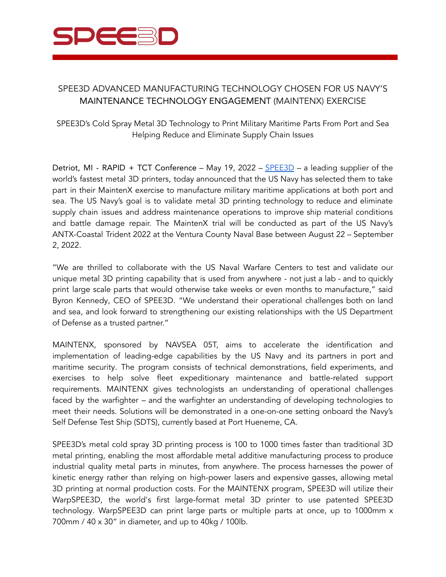

## SPEE3D ADVANCED MANUFACTURING TECHNOLOGY CHOSEN FOR US NAVY'S MAINTENANCE TECHNOLOGY ENGAGEMENT (MAINTENX) EXERCISE

SPEE3D's Cold Spray Metal 3D Technology to Print Military Maritime Parts From Port and Sea Helping Reduce and Eliminate Supply Chain Issues

Detriot, MI - RAPID + TCT Conference – May 19, 2022 – [SPEE3D](https://www.spee3d.com/) – a leading supplier of the world's fastest metal 3D printers, today announced that the US Navy has selected them to take part in their MaintenX exercise to manufacture military maritime applications at both port and sea. The US Navy's goal is to validate metal 3D printing technology to reduce and eliminate supply chain issues and address maintenance operations to improve ship material conditions and battle damage repair. The MaintenX trial will be conducted as part of the US Navy's ANTX-Coastal Trident 2022 at the Ventura County Naval Base between August 22 – September 2, 2022.

"We are thrilled to collaborate with the US Naval Warfare Centers to test and validate our unique metal 3D printing capability that is used from anywhere - not just a lab - and to quickly print large scale parts that would otherwise take weeks or even months to manufacture," said Byron Kennedy, CEO of SPEE3D. "We understand their operational challenges both on land and sea, and look forward to strengthening our existing relationships with the US Department of Defense as a trusted partner."

MAINTENX, sponsored by NAVSEA 05T, aims to accelerate the identification and implementation of leading-edge capabilities by the US Navy and its partners in port and maritime security. The program consists of technical demonstrations, field experiments, and exercises to help solve fleet expeditionary maintenance and battle-related support requirements. MAINTENX gives technologists an understanding of operational challenges faced by the warfighter – and the warfighter an understanding of developing technologies to meet their needs. Solutions will be demonstrated in a one-on-one setting onboard the Navy's Self Defense Test Ship (SDTS), currently based at Port Hueneme, CA.

SPEE3D's metal cold spray 3D printing process is 100 to 1000 times faster than traditional 3D metal printing, enabling the most affordable metal additive manufacturing process to produce industrial quality metal parts in minutes, from anywhere. The process harnesses the power of kinetic energy rather than relying on high-power lasers and expensive gasses, allowing metal 3D printing at normal production costs. For the MAINTENX program, SPEE3D will utilize their WarpSPEE3D, the world's first large-format metal 3D printer to use patented SPEE3D technology. WarpSPEE3D can print large parts or multiple parts at once, up to 1000mm x 700mm / 40 x 30" in diameter, and up to 40kg / 100lb.